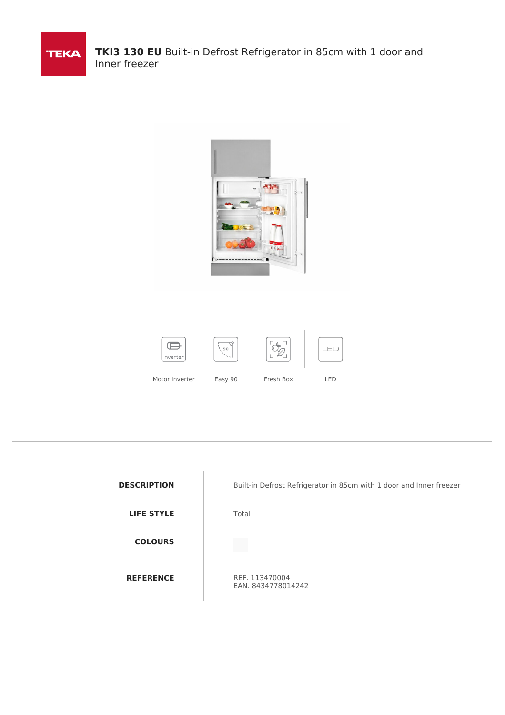



| <b>DESCRIPTION</b> |
|--------------------|
| <b>LIFE STYLE</b>  |
| <b>COLOURS</b>     |
| <b>REFERENCE</b>   |

Built-in Defrost Refrigerator in 85cm with 1 door and Inner freezer

**Total** 

REF. 113470004 EAN. 8434778014242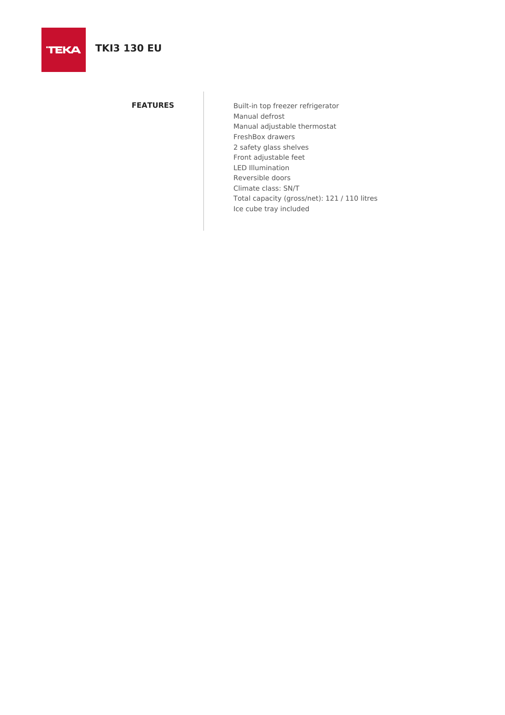# **TKI3 130 EU**

**TEKA** 

**FEATURES** Built-in top freezer refrigerator Manual defrost Manual adjustable thermostat FreshBox drawers 2 safety glass shelves Front adjustable feet LED Illumination Reversible doors Climate class: SN/T Total capacity (gross/net): 121 / 110 litres Ice cube tray included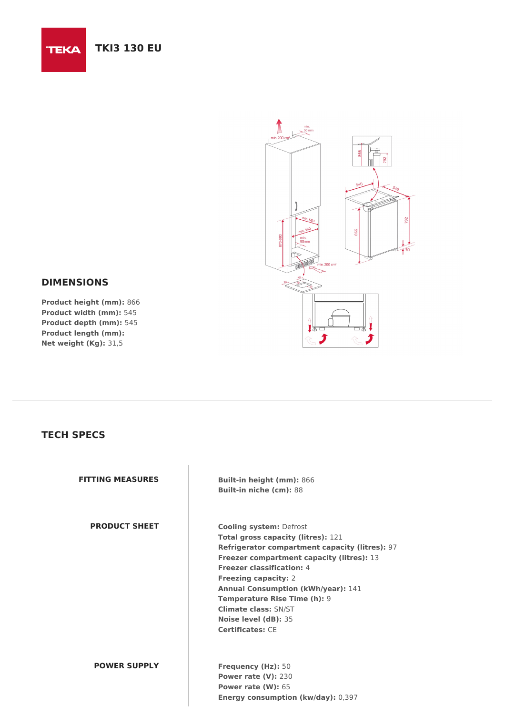## **TKI3 130 EU**



### **DIMENSIONS**

**TEKA** 

**Product height (mm):** 866 **Product width (mm):** 545 **Product depth (mm):** 545 **Product length (mm): Net weight (Kg):** 31,5

### **TECH SPECS**

**PRODUCT SHEET Cooling system:** Defrost

**FITTING MEASURES Built-in height (mm):** 866 **Built-in niche (cm):** 88

> **Total gross capacity (litres):** 121 **Refrigerator compartment capacity (litres):** 97 **Freezer compartment capacity (litres):** 13 **Freezer classification:** 4 **Freezing capacity:** 2 **Annual Consumption (kWh/year):** 141 **Temperature Rise Time (h):** 9 **Climate class:** SN/ST **Noise level (dB):** 35 **Certificates:** CE

#### **POWER SUPPLY Frequency (Hz):** 50

**Power rate (V):** 230 **Power rate (W):** 65 **Energy consumption (kw/day):** 0,397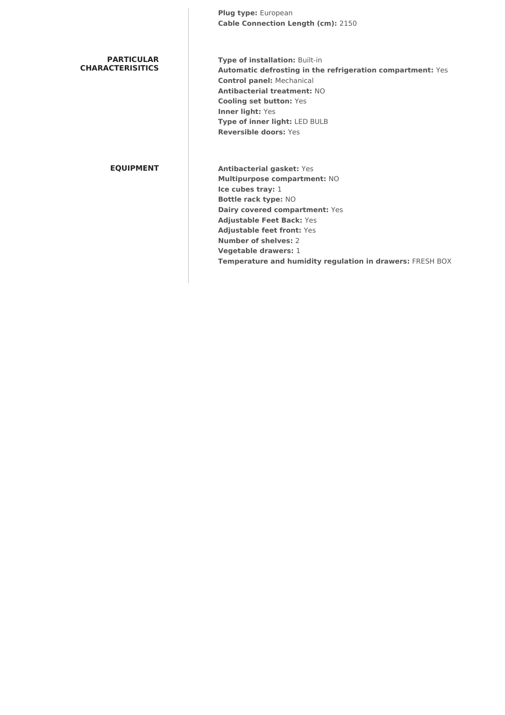**Plug type:** European **Cable Connection Length (cm):** 2150

| <b>PARTICULAR</b> |
|-------------------|
| CHARACTERISITICS  |

**Type of installation:** Built-in **Automatic defrosting in the refrigeration compartment:** Yes **Control panel:** Mechanical **Antibacterial treatment:** NO **Cooling set button:** Yes **Inner light:** Yes **Type of inner light:** LED BULB **Reversible doors:** Yes

**EQUIPMENT Antibacterial gasket:** Yes **Multipurpose compartment:** NO **Ice cubes tray:** 1 **Bottle rack type:** NO **Dairy covered compartment:** Yes **Adjustable Feet Back:** Yes **Adjustable feet front:** Yes **Number of shelves:** 2 **Vegetable drawers:** 1 **Temperature and humidity regulation in drawers:** FRESH BOX